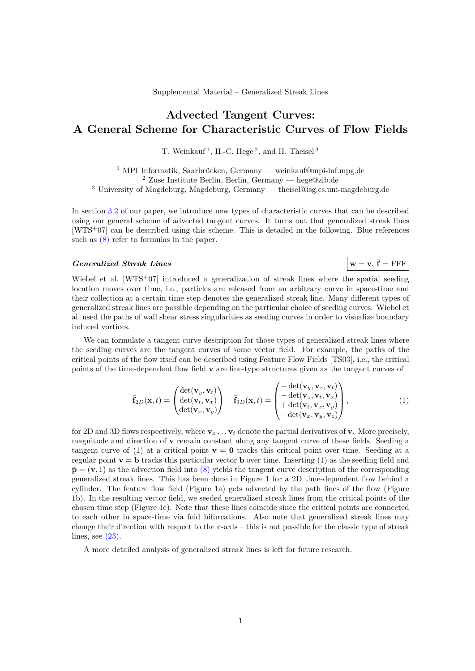## **Advected Tangent Curves: A General Scheme for Characteristic Curves of Flow Fields**

T. Weinkauf<sup>1</sup>, H.-C. Hege<sup>2</sup>, and H. Theisel<sup>3</sup>

 $^{1}$  MPI Informatik, Saarbrücken, Germany — weinkauf@mpi-inf.mpg.de  $2$  Zuse Institute Berlin, Berlin, Germany — hege@zib.de <sup>3</sup> University of Magdeburg, Magdeburg, Germany — theisel@isg.cs.uni-magdeburg.de

In section 3.2 of our paper, we introduce new types of characteristic curves that can be described using our general scheme of advected tangent curves. It turns out that generalized streak lines [WTS<sup>+</sup>07] can be described using this scheme. This is detailed in the following. Blue references such as  $(8)$  refer to formulas in the paper.

## $Generalized$  *Streak Lines*

Wiebel et al.  $[WTS^+07]$  introduced a generalization of streak lines where the spatial seeding location moves over time, i.e., particles are released from an arbitrary curve in space-time and their collection at a certain time step denotes the generalized streak line. Many different types of generalized streak lines are possible depending on the particular choice of seeding curves. Wiebel et al. used the paths of wall shear stress singularities as seeding curves in order to visualize boundary induced vortices.

We can formulate a tangent curve description for those types of generalized streak lines where the seeding curves are the tangent curves of some vector field. For example, the paths of the critical points of the flow itself can be described using Feature Flow Fields [TS03], i.e., the critical points of the time-dependent flow field **v** are line-type structures given as the tangent curves of

$$
\bar{\mathbf{f}}_{2D}(\mathbf{x},t) = \begin{pmatrix} \det(\mathbf{v}_y, \mathbf{v}_t) \\ \det(\mathbf{v}_t, \mathbf{v}_x) \\ \det(\mathbf{v}_x, \mathbf{v}_y) \end{pmatrix} \quad \bar{\mathbf{f}}_{3D}(\mathbf{x},t) = \begin{pmatrix} +\det(\mathbf{v}_y, \mathbf{v}_z, \mathbf{v}_t) \\ -\det(\mathbf{v}_z, \mathbf{v}_t, \mathbf{v}_x) \\ +\det(\mathbf{v}_t, \mathbf{v}_x, \mathbf{v}_y) \\ -\det(\mathbf{v}_x, \mathbf{v}_y, \mathbf{v}_z) \end{pmatrix},
$$
\n(1)

 $\mathbf{w} = \mathbf{v}, \overline{\mathbf{f}} = \text{FFF}$ 

for 2D and 3D flows respectively, where  $\mathbf{v}_x \dots \mathbf{v}_t$  denote the partial derivatives of **v**. More precisely, magnitude and direction of **v** remain constant along any tangent curve of these fields. Seeding a tangent curve of (1) at a critical point  $\mathbf{v} = \mathbf{0}$  tracks this critical point over time. Seeding at a regular point  $\mathbf{v} = \mathbf{b}$  tracks this particular vector **b** over time. Inserting (1) as the seeding field and  $\bar{\mathbf{p}} = (\mathbf{v}, 1)$  as the advection field into (8) yields the tangent curve description of the corresponding generalized streak lines. This has been done in Figure 1 for a 2D time-dependent flow behind a cylinder. The feature flow field (Figure 1a) gets advected by the path lines of the flow (Figure 1b). In the resulting vector field, we seeded generalized streak lines from the critical points of the chosen time step (Figure 1c). Note that these lines coincide since the critical points are connected to each other in space-time via fold bifurcations. Also note that generalized streak lines may change their direction with respect to the *τ* -axis – this is not possible for the classic type of streak lines, see  $(23)$ .

A more detailed analysis of generalized streak lines is left for future research.